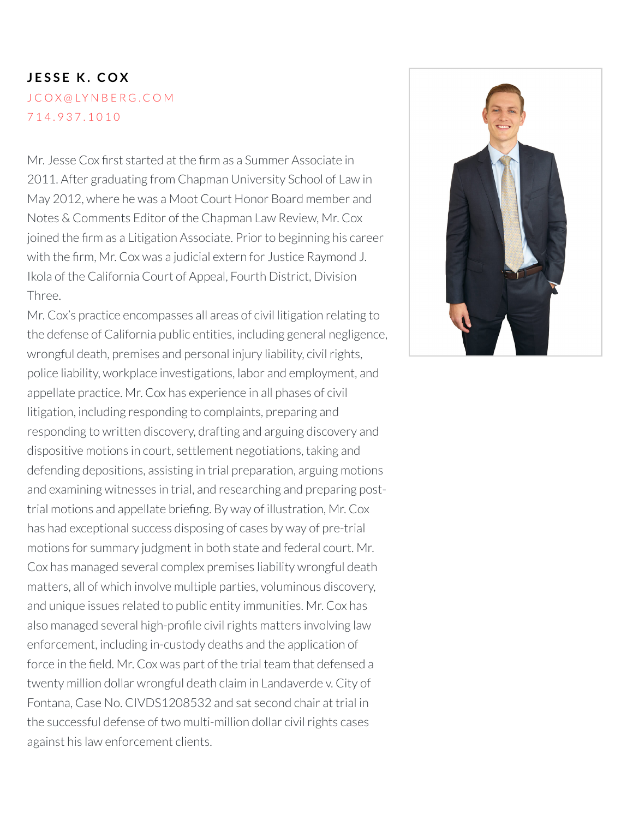# **J E S S E K . C O X** J C O X @ [LY](mailto:jcox@lynberg.com) N B E R G . C O M 7 1 4 . 9 [3](tel:714.937.1010) 7 . 1 0 1 0

Mr. Jesse Cox first started at the firm as a Summer Associate in 2011. After graduating from Chapman University School of Law in May 2012, where he was a Moot Court Honor Board member and Notes & Comments Editor of the Chapman Law Review, Mr. Cox joined the firm as a Litigation Associate. Prior to beginning his career with the firm, Mr. Cox was a judicial extern for Justice Raymond J. Ikola of the California Court of Appeal, Fourth District, Division Three.

Mr. Cox's practice encompasses all areas of civil litigation relating to the defense of California public entities, including general negligence, wrongful death, premises and personal injury liability, civil rights, police liability, workplace investigations, labor and employment, and appellate practice. Mr. Cox has experience in all phases of civil litigation, including responding to complaints, preparing and responding to written discovery, drafting and arguing discovery and dispositive motions in court, settlement negotiations, taking and defending depositions, assisting in trial preparation, arguing motions and examining witnesses in trial, and researching and preparing posttrial motions and appellate briefing. By way of illustration, Mr. Cox has had exceptional success disposing of cases by way of pre-trial motions for summary judgment in both state and federal court. Mr. Cox has managed several complex premises liability wrongful death matters, all of which involve multiple parties, voluminous discovery, and unique issues related to public entity immunities. Mr. Cox has also managed several high-profile civil rights matters involving law enforcement, including in-custody deaths and the application of force in the field. Mr. Cox was part of the trial team that defensed a twenty million dollar wrongful death claim in Landaverde v. City of Fontana, Case No. CIVDS1208532 and sat second chair at trial in the successful defense of two multi-million dollar civil rights cases against his law enforcement clients.

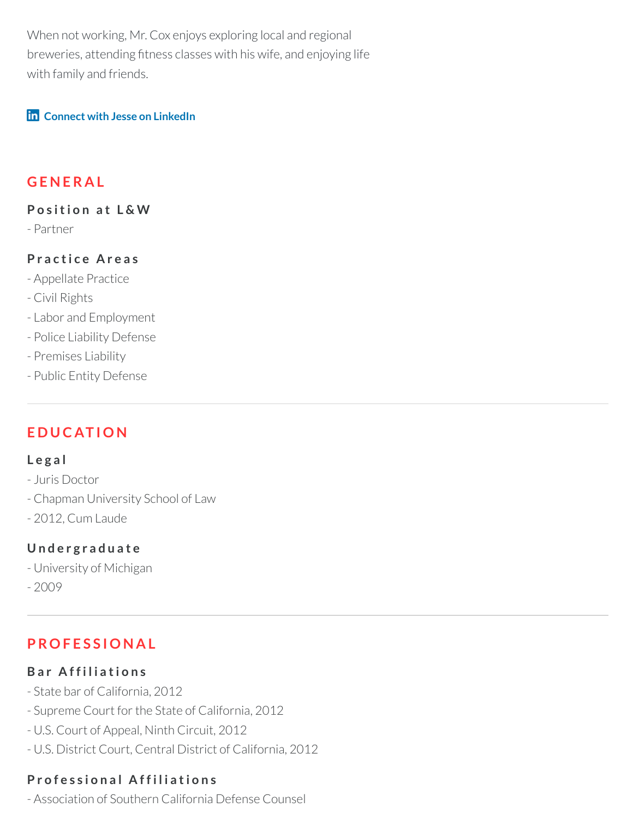When not working, Mr. Cox enjoys exploring local and regional breweries, attending fitness classes with his wife, and enjoying life with family and friends.

#### **Connect with Jesse on [LinkedIn](https://www.lynberg.com/search/attorneys/Jesse-K.-Cox)**

### **G E N E R A L**

#### **P o s iti o n a t L & W**

- Partner

#### **P r a c ti c e A r e a s**

- Appellate Practice
- Civil Rights
- Labor and Employment
- Police Liability Defense
- Premises Liability
- Public Entity Defense

# **E D U C AT I O N**

#### **L e g a l**

- Juris Doctor
- Chapman University School of Law
- 2012, Cum Laude

#### **U n d e r g r a d u a t e**

- University of Michigan
- $-2009$

# **P RO F E S S I O N A L**

#### **B a r A f f i l i a ti o n s**

- State bar of California, 2012
- Supreme Court for the State of California, 2012
- U.S. Court of Appeal, Ninth Circuit, 2012
- U.S. District Court, Central District of California, 2012

### **P r o f e s s i o n a l A f f i l i a ti o n s**

- Association of Southern California Defense Counsel